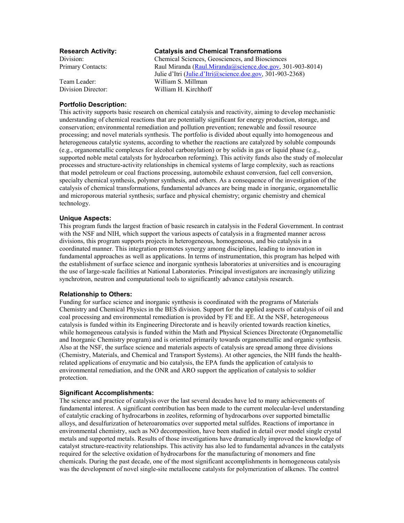# **Research Activity: Catalysis and Chemical Transformations**

Division: Chemical Sciences, Geosciences, and Biosciences Primary Contacts: Raul Miranda (Raul.Miranda @science.doe.gov, 301-903-8014) Julie d'Itri (Julie.d'Itri@science.doe.gov, 301-903-2368) Team Leader: William S. Millman Division Director: William H. Kirchhoff

## **Portfolio Description:**

This activity supports basic research on chemical catalysis and reactivity, aiming to develop mechanistic understanding of chemical reactions that are potentially significant for energy production, storage, and conservation; environmental remediation and pollution prevention; renewable and fossil resource processing; and novel materials synthesis. The portfolio is divided about equally into homogeneous and heterogeneous catalytic systems, according to whether the reactions are catalyzed by soluble compounds (e.g., organometallic complexes for alcohol carbonylation) or by solids in gas or liquid phase (e.g., supported noble metal catalysts for hydrocarbon reforming). This activity funds also the study of molecular processes and structure-activity relationships in chemical systems of large complexity, such as reactions that model petroleum or coal fractions processing, automobile exhaust conversion, fuel cell conversion, specialty chemical synthesis, polymer synthesis, and others. As a consequence of the investigation of the catalysis of chemical transformations, fundamental advances are being made in inorganic, organometallic and microporous material synthesis; surface and physical chemistry; organic chemistry and chemical technology.

## **Unique Aspects:**

This program funds the largest fraction of basic research in catalysis in the Federal Government. In contrast with the NSF and NIH, which support the various aspects of catalysis in a fragmented manner across divisions, this program supports projects in heterogeneous, homogeneous, and bio catalysis in a coordinated manner. This integration promotes synergy among disciplines, leading to innovation in fundamental approaches as well as applications. In terms of instrumentation, this program has helped with the establishment of surface science and inorganic synthesis laboratories at universities and is encouraging the use of large-scale facilities at National Laboratories. Principal investigators are increasingly utilizing synchrotron, neutron and computational tools to significantly advance catalysis research.

#### **Relationship to Others:**

Funding for surface science and inorganic synthesis is coordinated with the programs of Materials Chemistry and Chemical Physics in the BES division. Support for the applied aspects of catalysis of oil and coal processing and environmental remediation is provided by FE and EE. At the NSF, heterogeneous catalysis is funded within its Engineering Directorate and is heavily oriented towards reaction kinetics, while homogeneous catalysis is funded within the Math and Physical Sciences Directorate (Organometallic and Inorganic Chemistry program) and is oriented primarily towards organometallic and organic synthesis. Also at the NSF, the surface science and materials aspects of catalysis are spread among three divisions (Chemistry, Materials, and Chemical and Transport Systems). At other agencies, the NIH funds the healthrelated applications of enzymatic and bio catalysis, the EPA funds the application of catalysis to environmental remediation, and the ONR and ARO support the application of catalysis to soldier protection.

#### **Significant Accomplishments:**

The science and practice of catalysis over the last several decades have led to many achievements of fundamental interest. A significant contribution has been made to the current molecular-level understanding of catalytic cracking of hydrocarbons in zeolites, reforming of hydrocarbons over supported bimetallic alloys, and desulfurization of heteroaromatics over supported metal sulfides. Reactions of importance in environmental chemistry, such as NO decomposition, have been studied in detail over model single crystal metals and supported metals. Results of those investigations have dramatically improved the knowledge of catalyst structure-reactivity relationships. This activity has also led to fundamental advances in the catalysts required for the selective oxidation of hydrocarbons for the manufacturing of monomers and fine chemicals. During the past decade, one of the most significant accomplishments in homogeneous catalysis was the development of novel single-site metallocene catalysts for polymerization of alkenes. The control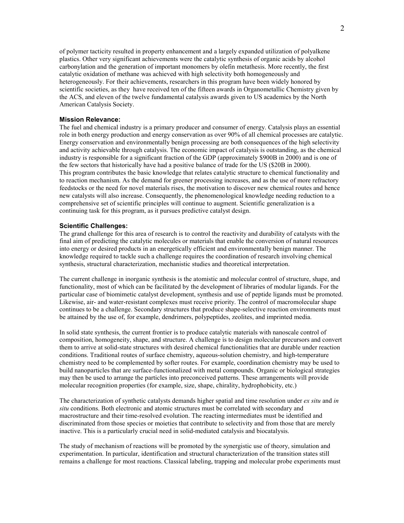of polymer tacticity resulted in property enhancement and a largely expanded utilization of polyalkene plastics. Other very significant achievements were the catalytic synthesis of organic acids by alcohol carbonylation and the generation of important monomers by olefin metathesis. More recently, the first catalytic oxidation of methane was achieved with high selectivity both homogeneously and heterogeneously. For their achievements, researchers in this program have been widely honored by scientific societies, as they have received ten of the fifteen awards in Organometallic Chemistry given by the ACS, and eleven of the twelve fundamental catalysis awards given to US academics by the North American Catalysis Society.

### **Mission Relevance:**

The fuel and chemical industry is a primary producer and consumer of energy. Catalysis plays an essential role in both energy production and energy conservation as over 90% of all chemical processes are catalytic. Energy conservation and environmentally benign processing are both consequences of the high selectivity and activity achievable through catalysis. The economic impact of catalysis is outstanding, as the chemical industry is responsible for a significant fraction of the GDP (approximately \$900B in 2000) and is one of the few sectors that historically have had a positive balance of trade for the US (\$20B in 2000). This program contributes the basic knowledge that relates catalytic structure to chemical functionality and to reaction mechanism. As the demand for greener processing increases, and as the use of more refractory feedstocks or the need for novel materials rises, the motivation to discover new chemical routes and hence new catalysts will also increase. Consequently, the phenomenological knowledge needing reduction to a comprehensive set of scientific principles will continue to augment. Scientific generalization is a continuing task for this program, as it pursues predictive catalyst design.

### **Scientific Challenges:**

The grand challenge for this area of research is to control the reactivity and durability of catalysts with the final aim of predicting the catalytic molecules or materials that enable the conversion of natural resources into energy or desired products in an energetically efficient and environmentally benign manner. The knowledge required to tackle such a challenge requires the coordination of research involving chemical synthesis, structural characterization, mechanistic studies and theoretical interpretation.

The current challenge in inorganic synthesis is the atomistic and molecular control of structure, shape, and functionality, most of which can be facilitated by the development of libraries of modular ligands. For the particular case of biomimetic catalyst development, synthesis and use of peptide ligands must be promoted. Likewise, air- and water-resistant complexes must receive priority. The control of macromolecular shape continues to be a challenge. Secondary structures that produce shape-selective reaction environments must be attained by the use of, for example, dendrimers, polypeptides, zeolites, and imprinted media.

In solid state synthesis, the current frontier is to produce catalytic materials with nanoscale control of composition, homogeneity, shape, and structure. A challenge is to design molecular precursors and convert them to arrive at solid-state structures with desired chemical functionalities that are durable under reaction conditions. Traditional routes of surface chemistry, aqueous-solution chemistry, and high-temperature chemistry need to be complemented by softer routes. For example, coordination chemistry may be used to build nanoparticles that are surface-functionalized with metal compounds. Organic or biological strategies may then be used to arrange the particles into preconceived patterns. These arrangements will provide molecular recognition properties (for example, size, shape, chirality, hydrophobicity, etc.)

The characterization of synthetic catalysts demands higher spatial and time resolution under *ex situ* and *in situ* conditions. Both electronic and atomic structures must be correlated with secondary and macrostructure and their time-resolved evolution. The reacting intermediates must be identified and discriminated from those species or moieties that contribute to selectivity and from those that are merely inactive. This is a particularly crucial need in solid-mediated catalysis and biocatalysis.

The study of mechanism of reactions will be promoted by the synergistic use of theory, simulation and experimentation. In particular, identification and structural characterization of the transition states still remains a challenge for most reactions. Classical labeling, trapping and molecular probe experiments must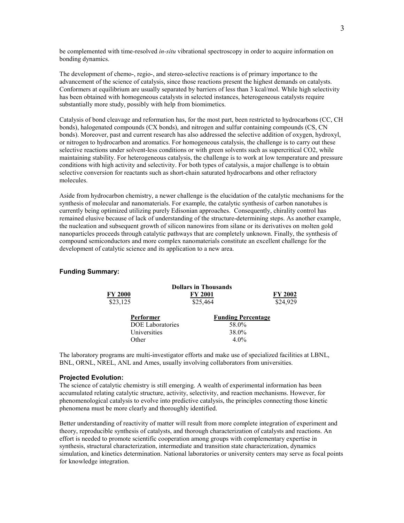be complemented with time-resolved *in-situ* vibrational spectroscopy in order to acquire information on bonding dynamics.

The development of chemo-, regio-, and stereo-selective reactions is of primary importance to the advancement of the science of catalysis, since those reactions present the highest demands on catalysts. Conformers at equilibrium are usually separated by barriers of less than 3 kcal/mol. While high selectivity has been obtained with homogeneous catalysts in selected instances, heterogeneous catalysts require substantially more study, possibly with help from biomimetics.

Catalysis of bond cleavage and reformation has, for the most part, been restricted to hydrocarbons (CC, CH bonds), halogenated compounds (CX bonds), and nitrogen and sulfur containing compounds (CS, CN bonds). Moreover, past and current research has also addressed the selective addition of oxygen, hydroxyl, or nitrogen to hydrocarbon and aromatics. For homogeneous catalysis, the challenge is to carry out these selective reactions under solvent-less conditions or with green solvents such as supercritical CO2, while maintaining stability. For heterogeneous catalysis, the challenge is to work at low temperature and pressure conditions with high activity and selectivity. For both types of catalysis, a major challenge is to obtain selective conversion for reactants such as short-chain saturated hydrocarbons and other refractory molecules.

Aside from hydrocarbon chemistry, a newer challenge is the elucidation of the catalytic mechanisms for the synthesis of molecular and nanomaterials. For example, the catalytic synthesis of carbon nanotubes is currently being optimized utilizing purely Edisonian approaches. Consequently, chirality control has remained elusive because of lack of understanding of the structure-determining steps. As another example, the nucleation and subsequent growth of silicon nanowires from silane or its derivatives on molten gold nanoparticles proceeds through catalytic pathways that are completely unknown. Finally, the synthesis of compound semiconductors and more complex nanomaterials constitute an excellent challenge for the development of catalytic science and its application to a new area.

## **Funding Summary:**

| <b>Dollars in Thousands</b> |                                  |                           |
|-----------------------------|----------------------------------|---------------------------|
| <b>FY 2000</b>              | FY 2001                          | FY 2002                   |
| \$23,125                    | \$25,464                         | \$24,929                  |
| Performer                   |                                  | <b>Funding Percentage</b> |
|                             | <b>DOE</b> Laboratories<br>58.0% |                           |
| Universities                | 38.0%                            |                           |
| Other                       |                                  | $4.0\%$                   |

The laboratory programs are multi-investigator efforts and make use of specialized facilities at LBNL, BNL, ORNL, NREL, ANL and Ames, usually involving collaborators from universities.

## **Projected Evolution:**

The science of catalytic chemistry is still emerging. A wealth of experimental information has been accumulated relating catalytic structure, activity, selectivity, and reaction mechanisms. However, for phenomenological catalysis to evolve into predictive catalysis, the principles connecting those kinetic phenomena must be more clearly and thoroughly identified.

Better understanding of reactivity of matter will result from more complete integration of experiment and theory, reproducible synthesis of catalysts, and thorough characterization of catalysts and reactions. An effort is needed to promote scientific cooperation among groups with complementary expertise in synthesis, structural characterization, intermediate and transition state characterization, dynamics simulation, and kinetics determination. National laboratories or university centers may serve as focal points for knowledge integration.